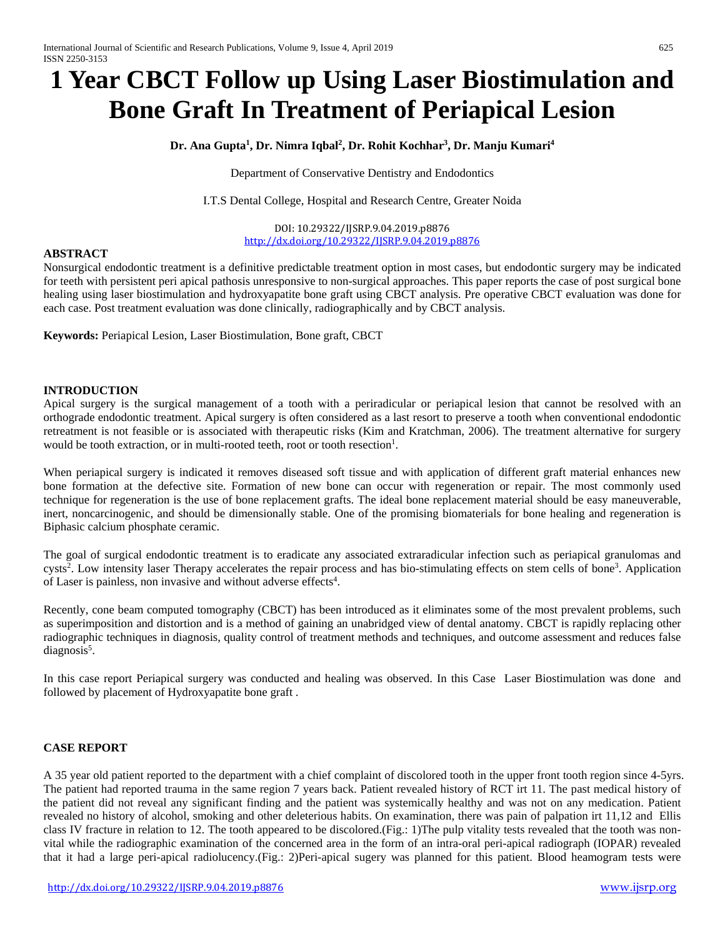# **1 Year CBCT Follow up Using Laser Biostimulation and Bone Graft In Treatment of Periapical Lesion**

# **Dr. Ana Gupta1 , Dr. Nimra Iqbal2 , Dr. Rohit Kochhar3 , Dr. Manju Kumari4**

Department of Conservative Dentistry and Endodontics

I.T.S Dental College, Hospital and Research Centre, Greater Noida

DOI: 10.29322/IJSRP.9.04.2019.p8876 [http://dx.doi.org/10.29322/IJSRP.9.04.2019.p8876](http://dx.doi.org/10.29322/IJSRP.9.03.2019.p8876)

# **ABSTRACT**

Nonsurgical endodontic treatment is a definitive predictable treatment option in most cases, but endodontic surgery may be indicated for teeth with persistent peri apical pathosis unresponsive to non-surgical approaches. This paper reports the case of post surgical bone healing using laser biostimulation and hydroxyapatite bone graft using CBCT analysis. Pre operative CBCT evaluation was done for each case. Post treatment evaluation was done clinically, radiographically and by CBCT analysis.

**Keywords:** Periapical Lesion, Laser Biostimulation, Bone graft, CBCT

#### **INTRODUCTION**

Apical surgery is the surgical management of a tooth with a periradicular or periapical lesion that cannot be resolved with an orthograde endodontic treatment. Apical surgery is often considered as a last resort to preserve a tooth when conventional endodontic retreatment is not feasible or is associated with therapeutic risks (Kim and Kratchman, 2006). The treatment alternative for surgery would be tooth extraction, or in multi-rooted teeth, root or tooth resection<sup>1</sup>.

When periapical surgery is indicated it removes diseased soft tissue and with application of different graft material enhances new bone formation at the defective site. Formation of new bone can occur with regeneration or repair. The most commonly used technique for regeneration is the use of bone replacement grafts. The ideal bone replacement material should be easy maneuverable, inert, noncarcinogenic, and should be dimensionally stable. One of the promising biomaterials for bone healing and regeneration is Biphasic calcium phosphate ceramic.

The goal of surgical endodontic treatment is to eradicate any associated extraradicular infection such as periapical granulomas and cysts<sup>2</sup>. Low intensity laser Therapy accelerates the repair process and has bio-stimulating effects on stem cells of bone<sup>3</sup>. Application of Laser is painless, non invasive and without adverse effects<sup>4</sup>.

Recently, cone beam computed tomography (CBCT) has been introduced as it eliminates some of the most prevalent problems, such as superimposition and distortion and is a method of gaining an unabridged view of dental anatomy. CBCT is rapidly replacing other radiographic techniques in diagnosis, quality control of treatment methods and techniques, and outcome assessment and reduces false diagnosis<sup>5</sup>.

In this case report Periapical surgery was conducted and healing was observed. In this Case Laser Biostimulation was done and followed by placement of Hydroxyapatite bone graft .

#### **CASE REPORT**

A 35 year old patient reported to the department with a chief complaint of discolored tooth in the upper front tooth region since 4-5yrs. The patient had reported trauma in the same region 7 years back. Patient revealed history of RCT irt 11. The past medical history of the patient did not reveal any significant finding and the patient was systemically healthy and was not on any medication. Patient revealed no history of alcohol, smoking and other deleterious habits. On examination, there was pain of palpation irt 11,12 and Ellis class IV fracture in relation to 12. The tooth appeared to be discolored.(Fig.: 1)The pulp vitality tests revealed that the tooth was nonvital while the radiographic examination of the concerned area in the form of an intra-oral peri-apical radiograph (IOPAR) revealed that it had a large peri-apical radiolucency.(Fig.: 2)Peri-apical sugery was planned for this patient. Blood heamogram tests were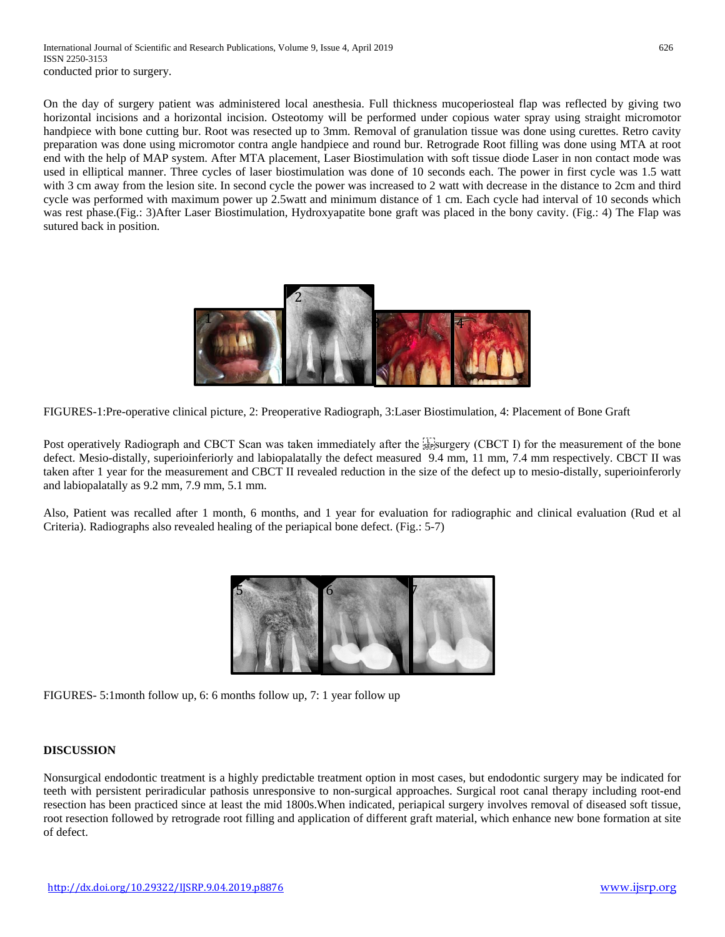International Journal of Scientific and Research Publications, Volume 9, Issue 4, April 2019 626 ISSN 2250-3153 conducted prior to surgery.

On the day of surgery patient was administered local anesthesia. Full thickness mucoperiosteal flap was reflected by giving two horizontal incisions and a horizontal incision. Osteotomy will be performed under copious water spray using straight micromotor handpiece with bone cutting bur. Root was resected up to 3mm. Removal of granulation tissue was done using curettes. Retro cavity preparation was done using micromotor contra angle handpiece and round bur. Retrograde Root filling was done using MTA at root end with the help of MAP system. After MTA placement, Laser Biostimulation with soft tissue diode Laser in non contact mode was used in elliptical manner. Three cycles of laser biostimulation was done of 10 seconds each. The power in first cycle was 1.5 watt with 3 cm away from the lesion site. In second cycle the power was increased to 2 watt with decrease in the distance to 2cm and third cycle was performed with maximum power up 2.5watt and minimum distance of 1 cm. Each cycle had interval of 10 seconds which was rest phase.(Fig.: 3)After Laser Biostimulation, Hydroxyapatite bone graft was placed in the bony cavity. (Fig.: 4) The Flap was sutured back in position.



FIGURES-1:Pre-operative clinical picture, 2: Preoperative Radiograph, 3:Laser Biostimulation, 4: Placement of Bone Graft

Post operatively Radiograph and CBCT Scan was taken immediately after the stesurgery (CBCT I) for the measurement of the bone defect. Mesio-distally, superioinferiorly and labiopalatally the defect measured 9.4 mm, 11 mm, 7.4 mm respectively. CBCT II was taken after 1 year for the measurement and CBCT II revealed reduction in the size of the defect up to mesio-distally, superioinferorly and labiopalatally as 9.2 mm, 7.9 mm, 5.1 mm.

Also, Patient was recalled after 1 month, 6 months, and 1 year for evaluation for radiographic and clinical evaluation (Rud et al Criteria). Radiographs also revealed healing of the periapical bone defect. (Fig.: 5-7)



FIGURES- 5:1month follow up, 6: 6 months follow up, 7: 1 year follow up

#### **DISCUSSION**

Nonsurgical endodontic treatment is a highly predictable treatment option in most cases, but endodontic surgery may be indicated for teeth with persistent periradicular pathosis unresponsive to non-surgical approaches. Surgical root canal therapy including root-end resection has been practiced since at least the mid 1800s.When indicated, periapical surgery involves removal of diseased soft tissue, root resection followed by retrograde root filling and application of different graft material, which enhance new bone formation at site of defect.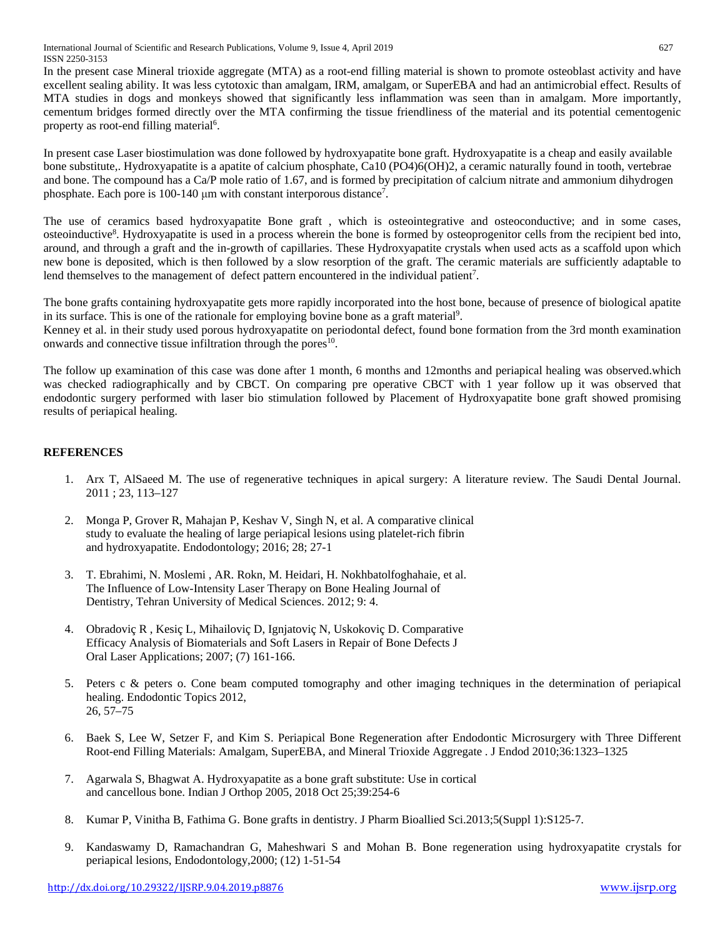International Journal of Scientific and Research Publications, Volume 9, Issue 4, April 2019 627 ISSN 2250-3153

In the present case Mineral trioxide aggregate (MTA) as a root-end filling material is shown to promote osteoblast activity and have excellent sealing ability. It was less cytotoxic than amalgam, IRM, amalgam, or SuperEBA and had an antimicrobial effect. Results of MTA studies in dogs and monkeys showed that significantly less inflammation was seen than in amalgam. More importantly, cementum bridges formed directly over the MTA confirming the tissue friendliness of the material and its potential cementogenic property as root-end filling material<sup>6</sup>.

In present case Laser biostimulation was done followed by hydroxyapatite bone graft. Hydroxyapatite is a cheap and easily available bone substitute,. Hydroxyapatite is a apatite of calcium phosphate, Ca10 (PO4)6(OH)2, a ceramic naturally found in tooth, vertebrae and bone. The compound has a Ca/P mole ratio of 1.67, and is formed by precipitation of calcium nitrate and ammonium dihydrogen phosphate. Each pore is 100-140 μm with constant interporous distance<sup>7</sup>.

The use of ceramics based hydroxyapatite Bone graft , which is osteointegrative and osteoconductive; and in some cases, osteoinductive<sup>8</sup>. Hydroxyapatite is used in a process wherein the bone is formed by osteoprogenitor cells from the recipient bed into, around, and through a graft and the in-growth of capillaries. These Hydroxyapatite crystals when used acts as a scaffold upon which new bone is deposited, which is then followed by a slow resorption of the graft. The ceramic materials are sufficiently adaptable to lend themselves to the management of defect pattern encountered in the individual patient<sup>7</sup>.

The bone grafts containing hydroxyapatite gets more rapidly incorporated into the host bone, because of presence of biological apatite in its surface. This is one of the rationale for employing bovine bone as a graft material<sup>9</sup>.

Kenney et al. in their study used porous hydroxyapatite on periodontal defect, found bone formation from the 3rd month examination onwards and connective tissue infiltration through the pores $10$ .

The follow up examination of this case was done after 1 month, 6 months and 12months and periapical healing was observed.which was checked radiographically and by CBCT. On comparing pre operative CBCT with 1 year follow up it was observed that endodontic surgery performed with laser bio stimulation followed by Placement of Hydroxyapatite bone graft showed promising results of periapical healing.

# **REFERENCES**

- 1. Arx T, AlSaeed M. The use of regenerative techniques in apical surgery: A literature review. The Saudi Dental Journal. 2011 ; 23, 113–127
- 2. Monga P, Grover R, Mahajan P, Keshav V, Singh N, et al. A comparative clinical study to evaluate the healing of large periapical lesions using platelet-rich fibrin and hydroxyapatite. Endodontology; 2016; 28; 27-1
- 3. T. Ebrahimi, N. Moslemi , AR. Rokn, M. Heidari, H. Nokhbatolfoghahaie, et al. The Influence of Low-Intensity Laser Therapy on Bone Healing Journal of Dentistry, Tehran University of Medical Sciences. 2012; 9: 4.
- 4. Obradoviç R , Kesiç L, Mihailoviç D, Ignjatoviç N, Uskokoviç D. Comparative Efficacy Analysis of Biomaterials and Soft Lasers in Repair of Bone Defects J Oral Laser Applications; 2007; (7) 161-166.
- 5. Peters c & peters o. Cone beam computed tomography and other imaging techniques in the determination of periapical healing. Endodontic Topics 2012, 26, 57–75
- 6. Baek S, Lee W, Setzer F, and Kim S. Periapical Bone Regeneration after Endodontic Microsurgery with Three Different Root-end Filling Materials: Amalgam, SuperEBA, and Mineral Trioxide Aggregate . J Endod 2010;36:1323–1325
- 7. Agarwala S, Bhagwat A. Hydroxyapatite as a bone graft substitute: Use in cortical and cancellous bone. Indian J Orthop 2005, 2018 Oct 25;39:254-6
- 8. Kumar P, Vinitha B, Fathima G. Bone grafts in dentistry. J Pharm Bioallied Sci.2013;5(Suppl 1):S125-7.
- 9. Kandaswamy D, Ramachandran G, Maheshwari S and Mohan B. Bone regeneration using hydroxyapatite crystals for periapical lesions, Endodontology,2000; (12) 1-51-54